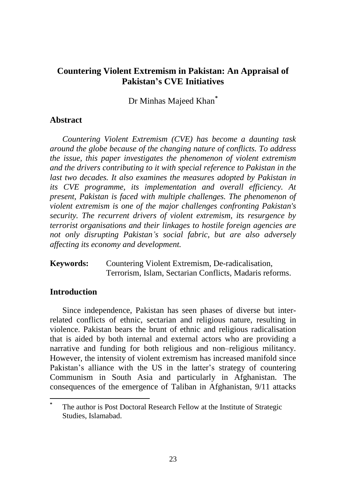Dr Minhas Majeed Khan*\**

# **Abstract**

*Countering Violent Extremism (CVE) has become a daunting task around the globe because of the changing nature of conflicts. To address the issue, this paper investigates the phenomenon of violent extremism and the drivers contributing to it with special reference to Pakistan in the last two decades. It also examines the measures adopted by Pakistan in its CVE programme, its implementation and overall efficiency. At present, Pakistan is faced with multiple challenges. The phenomenon of violent extremism is one of the major challenges confronting Pakistan's security. The recurrent drivers of violent extremism, its resurgence by terrorist organisations and their linkages to hostile foreign agencies are not only disrupting Pakistan's social fabric, but are also adversely affecting its economy and development.*

**Keywords:** Countering Violent Extremism, De-radicalisation, Terrorism, Islam, Sectarian Conflicts, Madaris reforms.

# **Introduction**

 $\overline{a}$ 

Since independence, Pakistan has seen phases of diverse but interrelated conflicts of ethnic, sectarian and religious nature, resulting in violence. Pakistan bears the brunt of ethnic and religious radicalisation that is aided by both internal and external actors who are providing a narrative and funding for both religious and non–religious militancy. However, the intensity of violent extremism has increased manifold since Pakistan's alliance with the US in the latter's strategy of countering Communism in South Asia and particularly in Afghanistan. The consequences of the emergence of Taliban in Afghanistan, 9/11 attacks

**<sup>\*</sup>** The author is Post Doctoral Research Fellow at the Institute of Strategic Studies, Islamabad.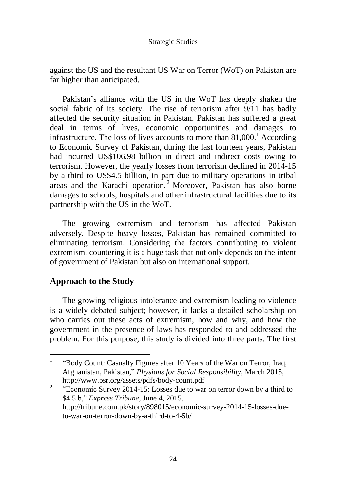against the US and the resultant US War on Terror (WoT) on Pakistan are far higher than anticipated.

Pakistan's alliance with the US in the WoT has deeply shaken the social fabric of its society. The rise of terrorism after 9/11 has badly affected the security situation in Pakistan. Pakistan has suffered a great deal in terms of lives, economic opportunities and damages to infrastructure. The loss of lives accounts to more than  $81,000$ .<sup>1</sup> According to Economic Survey of Pakistan, during the last fourteen years, Pakistan had incurred US\$106.98 billion in direct and indirect costs owing to terrorism. However, the yearly losses from terrorism declined in 2014-15 by a third to US\$4.5 billion, in part due to military operations in tribal areas and the Karachi operation. <sup>2</sup> Moreover, Pakistan has also borne damages to schools, hospitals and other infrastructural facilities due to its partnership with the US in the WoT.

The growing extremism and terrorism has affected Pakistan adversely. Despite heavy losses, Pakistan has remained committed to eliminating terrorism. Considering the factors contributing to violent extremism, countering it is a huge task that not only depends on the intent of government of Pakistan but also on international support.

# **Approach to the Study**

 $\overline{a}$ 

The growing religious intolerance and extremism leading to violence is a widely debated subject; however, it lacks a detailed scholarship on who carries out these acts of extremism, how and why, and how the government in the presence of laws has responded to and addressed the problem. For this purpose, this study is divided into three parts. The first

2 "Economic Survey 2014-15: Losses due to war on terror down by a third to \$4.5 b," *Express Tribune*, June 4, 2015, http://tribune.com.pk/story/898015/economic-survey-2014-15-losses-dueto-war-on-terror-down-by-a-third-to-4-5b/

<sup>1</sup> "Body Count: Casualty Figures after 10 Years of the War on Terror, Iraq, Afghanistan, Pakistan," *Physians for Social Responsibility,* March 2015, http://www.psr.org/assets/pdfs/body-count.pdf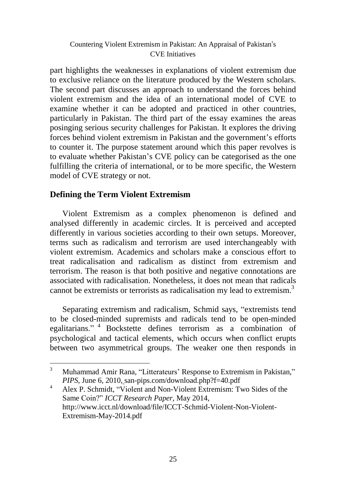part highlights the weaknesses in explanations of violent extremism due to exclusive reliance on the literature produced by the Western scholars. The second part discusses an approach to understand the forces behind violent extremism and the idea of an international model of CVE to examine whether it can be adopted and practiced in other countries, particularly in Pakistan. The third part of the essay examines the areas posinging serious security challenges for Pakistan. It explores the driving forces behind violent extremism in Pakistan and the government's efforts to counter it. The purpose statement around which this paper revolves is to evaluate whether Pakistan's CVE policy can be categorised as the one fulfilling the criteria of international, or to be more specific, the Western model of CVE strategy or not.

# **Defining the Term Violent Extremism**

 $\overline{a}$ 

Violent Extremism as a complex phenomenon is defined and analysed differently in academic circles. It is perceived and accepted differently in various societies according to their own setups. Moreover, terms such as radicalism and terrorism are used interchangeably with violent extremism. Academics and scholars make a conscious effort to treat radicalisation and radicalism as distinct from extremism and terrorism. The reason is that both positive and negative connotations are associated with radicalisation. Nonetheless, it does not mean that radicals cannot be extremists or terrorists as radicalisation my lead to extremism.<sup>3</sup>

Separating extremism and radicalism, Schmid says, "extremists tend to be closed-minded supremists and radicals tend to be open-minded egalitarians." <sup>4</sup> Bockstette defines terrorism as a combination of psychological and tactical elements, which occurs when conflict erupts between two asymmetrical groups. The weaker one then responds in

<sup>&</sup>lt;sup>3</sup> Muhammad Amir Rana, "Litterateurs' Response to Extremism in Pakistan," *PIPS*, June 6, 2010, san-pips.com/download.php?f=40.pdf

<sup>&</sup>lt;sup>4</sup> Alex P. Schmidt, "Violent and Non-Violent Extremism: Two Sides of the Same Coin?" *ICCT Research Paper,* May 2014, http://www.icct.nl/download/file/ICCT-Schmid-Violent-Non-Violent-Extremism-May-2014.pdf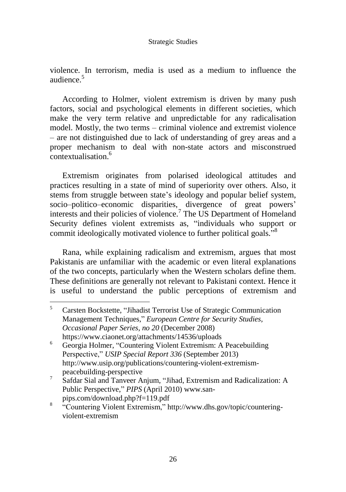violence. In terrorism, media is used as a medium to influence the audience.<sup>5</sup>

According to Holmer, violent extremism is driven by many push factors, social and psychological elements in different societies, which make the very term relative and unpredictable for any radicalisation model. Mostly, the two terms – criminal violence and extremist violence – are not distinguished due to lack of understanding of grey areas and a proper mechanism to deal with non-state actors and misconstrued contextualisation.<sup>6</sup>

Extremism originates from polarised ideological attitudes and practices resulting in a state of mind of superiority over others. Also, it stems from struggle between state's ideology and popular belief system, socio–politico–economic disparities, divergence of great powers' interests and their policies of violence.<sup>7</sup> The US Department of Homeland Security defines violent extremists as, "individuals who support or commit ideologically motivated violence to further political goals."<sup>8</sup>

Rana, while explaining radicalism and extremism, argues that most Pakistanis are unfamiliar with the academic or even literal explanations of the two concepts, particularly when the Western scholars define them. These definitions are generally not relevant to Pakistani context. Hence it is useful to understand the public perceptions of extremism and

<sup>5</sup> Carsten Bockstette, "Jihadist Terrorist Use of Strategic Communication Management Techniques," *European Centre for Security Studies, Occasional Paper Series, no 20* (December 2008) https://www.ciaonet.org/attachments/14536/uploads

<sup>6</sup> Georgia Holmer, "Countering Violent Extremism: A Peacebuilding Perspective," *USIP Special Report 336* (September 2013) http://www.usip.org/publications/countering-violent-extremismpeacebuilding-perspective

<sup>7</sup> Safdar Sial and Tanveer Anjum, "Jihad, Extremism and Radicalization: A Public Perspective," *PIPS* (April 2010) www.sanpips.com/download.php?f=119.pdf

<sup>8</sup> "Countering Violent Extremism," [http://www.dhs.gov/topic/countering](http://www.dhs.gov/topic/countering-violent-extremism)[violent-extremism](http://www.dhs.gov/topic/countering-violent-extremism)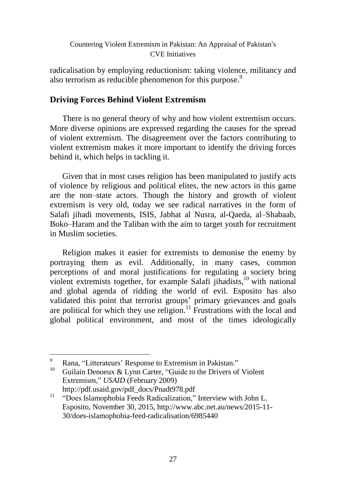radicalisation by employing reductionism: taking violence, militancy and also terrorism as reducible phenomenon for this purpose.<sup>9</sup>

# **Driving Forces Behind Violent Extremism**

There is no general theory of why and how violent extremism occurs. More diverse opinions are expressed regarding the causes for the spread of violent extremism. The disagreement over the factors contributing to violent extremism makes it more important to identify the driving forces behind it, which helps in tackling it.

Given that in most cases religion has been manipulated to justify acts of violence by religious and political elites, the new actors in this game are the non–state actors. Though the history and growth of violent extremism is very old, today we see radical narratives in the form of Salafi jihadi movements, ISIS, Jabhat al Nusra, al-Qaeda, al–Shabaab, Boko–Haram and the Taliban with the aim to target youth for recruitment in Muslim societies.

Religion makes it easier for extremists to demonise the enemy by portraying them as evil. Additionally, in many cases, common perceptions of and moral justifications for regulating a society bring violent extremists together, for example Salafi jihadists, <sup>10</sup> with national and global agenda of ridding the world of evil. Esposito has also validated this point that terrorist groups' primary grievances and goals are political for which they use religion.<sup>11</sup> Frustrations with the local and global political environment, and most of the times ideologically

Rana, "Litterateurs' Response to Extremism in Pakistan."

<sup>&</sup>lt;sup>10</sup> Guilain Denoeux & Lynn Carter, "Guide to the Drivers of Violent Extremism," *USAID* (February 2009) http://pdf.usaid.gov/pdf\_docs/Pnadt978.pdf

<sup>&</sup>lt;sup>11</sup> "Does Islamophobia Feeds Radicalization," Interview with John L. Esposito, November 30, 2015, http://www.abc.net.au/news/2015-11- 30/does-islamophobia-feed-radicalisation/6985440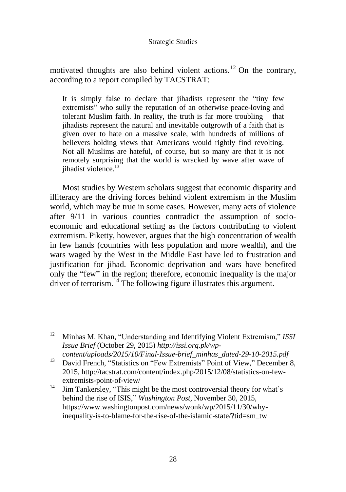motivated thoughts are also behind violent actions.<sup>12</sup> On the contrary, according to a report compiled by TACSTRAT:

It is simply false to declare that jihadists represent the "tiny few extremists" who sully the reputation of an otherwise peace-loving and tolerant Muslim faith. In reality, the truth is far more troubling – that jihadists represent the natural and inevitable outgrowth of a faith that is given over to hate on a massive scale, with hundreds of millions of believers holding views that Americans would rightly find revolting. Not all Muslims are hateful, of course, but so many are that it is not remotely surprising that the world is wracked by wave after wave of jihadist violence. 13

Most studies by Western scholars suggest that economic disparity and illiteracy are the driving forces behind violent extremism in the Muslim world, which may be true in some cases. However, many acts of violence after 9/11 in various counties contradict the assumption of socioeconomic and educational setting as the factors contributing to violent extremism. Piketty, however, argues that the high concentration of wealth in few hands (countries with less population and more wealth), and the wars waged by the West in the Middle East have led to frustration and justification for jihad. Economic deprivation and wars have benefited only the "few" in the region; therefore, economic inequality is the major driver of terrorism.<sup>14</sup> The following figure illustrates this argument.

 $12$ <sup>12</sup> Minhas M. Khan, "Understanding and Identifying Violent Extremism," *ISSI Issue Brief* (October 29, 2015) *http://issi.org.pk/wpcontent/uploads/2015/10/Final-Issue-brief\_minhas\_dated-29-10-2015.pdf*

<sup>&</sup>lt;sup>13</sup> David French, "Statistics on "Few Extremists" Point of View," December 8, 2015, http://tacstrat.com/content/index.php/2015/12/08/statistics-on-fewextremists-point-of-view/

<sup>&</sup>lt;sup>14</sup> Jim Tankersley, "This might be the most controversial theory for what's behind the rise of ISIS," *Washington Post,* November 30, 2015, https://www.washingtonpost.com/news/wonk/wp/2015/11/30/whyinequality-is-to-blame-for-the-rise-of-the-islamic-state/?tid=sm\_tw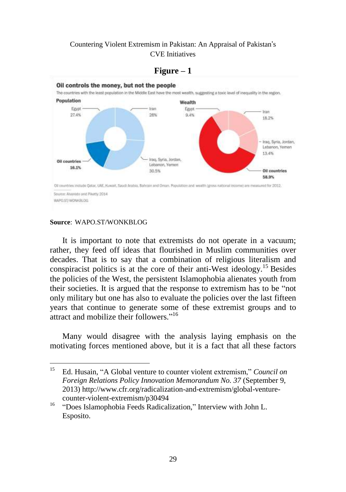

#### $Figure - 1$

#### **Source**: WAPO.ST/WONKBLOG

 $\overline{a}$ 

It is important to note that extremists do not operate in a vacuum; rather, they feed off ideas that flourished in Muslim communities over decades. That is to say that a combination of religious literalism and conspiracist politics is at the core of their anti-West ideology.<sup>15</sup> Besides the policies of the West, the persistent Islamophobia alienates youth from their societies. It is argued that the response to extremism has to be "not only military but one has also to evaluate the policies over the last fifteen years that continue to generate some of these extremist groups and to attract and mobilize their followers."<sup>16</sup>

Many would disagree with the analysis laying emphasis on the motivating forces mentioned above, but it is a fact that all these factors

<sup>15</sup> Ed. Husain, "A Global venture to counter violent extremism," *Council on Foreign Relations Policy Innovation Memorandum No. 37* (September 9, 2013) http://www.cfr.org/radicalization-and-extremism/global-venturecounter-violent-extremism/p30494

<sup>&</sup>lt;sup>16</sup> "Does Islamophobia Feeds Radicalization," Interview with John L. Esposito.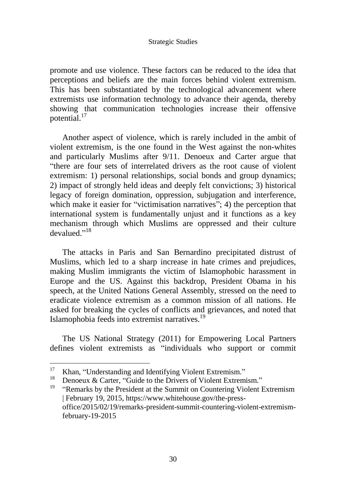promote and use violence. These factors can be reduced to the idea that perceptions and beliefs are the main forces behind violent extremism. This has been substantiated by the technological advancement where extremists use information technology to advance their agenda, thereby showing that communication technologies increase their offensive potential.<sup>17</sup>

Another aspect of violence, which is rarely included in the ambit of violent extremism, is the one found in the West against the non-whites and particularly Muslims after 9/11. Denoeux and Carter argue that "there are four sets of interrelated drivers as the root cause of violent extremism: 1) personal relationships, social bonds and group dynamics; 2) impact of strongly held ideas and deeply felt convictions; 3) historical legacy of foreign domination, oppression, subjugation and interference, which make it easier for "victimisation narratives"; 4) the perception that international system is fundamentally unjust and it functions as a key mechanism through which Muslims are oppressed and their culture devalued."<sup>18</sup>

The attacks in Paris and San Bernardino precipitated distrust of Muslims, which led to a sharp increase in hate crimes and prejudices, making Muslim immigrants the victim of Islamophobic harassment in Europe and the US. Against this backdrop, President Obama in his speech, at the United Nations General Assembly, stressed on the need to eradicate violence extremism as a common mission of all nations. He asked for breaking the cycles of conflicts and grievances, and noted that Islamophobia feeds into extremist narratives.<sup>19</sup>

The US National Strategy (2011) for Empowering Local Partners defines violent extremists as "individuals who support or commit

<sup>&</sup>lt;sup>17</sup> Khan, "Understanding and Identifying Violent Extremism."

<sup>&</sup>lt;sup>18</sup> Denoeux & Carter, "Guide to the Drivers of Violent Extremism."<br><sup>19</sup> "Demoglic by the Dresident et the Symmit on Countering Violent I

<sup>&</sup>quot;Remarks by the President at the Summit on Countering Violent Extremism | February 19, 2015, https://www.whitehouse.gov/the-pressoffice/2015/02/19/remarks-president-summit-countering-violent-extremismfebruary-19-2015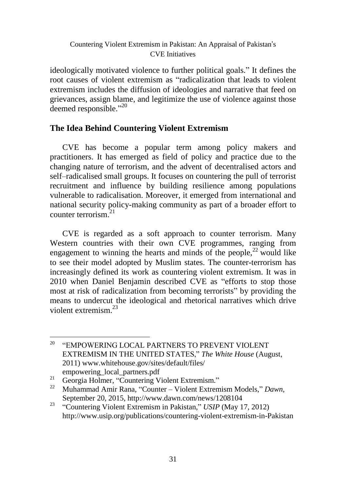ideologically motivated violence to further political goals." It defines the root causes of violent extremism as "radicalization that leads to violent extremism includes the diffusion of ideologies and narrative that feed on grievances, assign blame, and legitimize the use of violence against those deemed responsible."<sup>20</sup>

# **The Idea Behind Countering Violent Extremism**

CVE has become a popular term among policy makers and practitioners. It has emerged as field of policy and practice due to the changing nature of terrorism, and the advent of decentralised actors and self–radicalised small groups. It focuses on countering the pull of terrorist recruitment and influence by building resilience among populations vulnerable to radicalisation. Moreover, it emerged from international and national security policy-making community as part of a broader effort to counter terrorism.<sup>21</sup>

CVE is regarded as a soft approach to counter terrorism. Many Western countries with their own CVE programmes, ranging from engagement to winning the hearts and minds of the people, $^{22}$  would like to see their model adopted by Muslim states. The counter-terrorism has increasingly defined its work as countering violent extremism. It was in 2010 when Daniel Benjamin described CVE as "efforts to stop those most at risk of radicalization from becoming terrorists" by providing the means to undercut the ideological and rhetorical narratives which drive violent extremism $^{23}$ 

20 "EMPOWERING LOCAL PARTNERS TO PREVENT VIOLENT EXTREMISM IN THE UNITED STATES," *The White House* (August, 2011) www.whitehouse.gov/sites/default/files/ empowering\_local\_partners.pdf

<sup>&</sup>lt;sup>21</sup> Georgia Holmer, "Countering Violent Extremism."

<sup>22</sup> Muhammad Amir Rana, "Counter – Violent Extremism Models," *Dawn,* September 20, 2015, http://www.dawn.com/news/1208104

<sup>&</sup>lt;sup>23</sup> "Countering Violent Extremism in Pakistan," *USIP* (May 17, 2012) http://www.usip.org/publications/countering-violent-extremism-in-Pakistan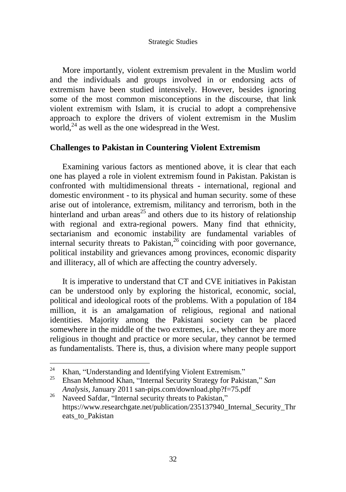More importantly, violent extremism prevalent in the Muslim world and the individuals and groups involved in or endorsing acts of extremism have been studied intensively. However, besides ignoring some of the most common misconceptions in the discourse, that link violent extremism with Islam, it is crucial to adopt a comprehensive approach to explore the drivers of violent extremism in the Muslim world, $^{24}$  as well as the one widespread in the West.

## **Challenges to Pakistan in Countering Violent Extremism**

Examining various factors as mentioned above, it is clear that each one has played a role in violent extremism found in Pakistan. Pakistan is confronted with multidimensional threats - international, regional and domestic environment - to its physical and human security. some of these arise out of intolerance, extremism, militancy and terrorism, both in the hinterland and urban areas<sup>25</sup> and others due to its history of relationship with regional and extra-regional powers. Many find that ethnicity, sectarianism and economic instability are fundamental variables of internal security threats to Pakistan, $26$  coinciding with poor governance, political instability and grievances among provinces, economic disparity and illiteracy, all of which are affecting the country adversely.

It is imperative to understand that CT and CVE initiatives in Pakistan can be understood only by exploring the historical, economic, social, political and ideological roots of the problems. With a population of 184 million, it is an amalgamation of religious, regional and national identities. Majority among the Pakistani society can be placed somewhere in the middle of the two extremes, i.e., whether they are more religious in thought and practice or more secular, they cannot be termed as fundamentalists. There is, thus, a division where many people support

<sup>&</sup>lt;sup>24</sup> Khan, "Understanding and Identifying Violent Extremism."<br><sup>25</sup> Eksen Mehmood Khan, "Internal Sequrity Strategy for Polici

<sup>25</sup> Ehsan Mehmood Khan, "Internal Security Strategy for Pakistan," *San Analysis,* January 2011 san-pips.com/download.php?f=75.pdf

<sup>&</sup>lt;sup>26</sup> Naveed Safdar, "Internal security threats to Pakistan," https://www.researchgate.net/publication/235137940\_Internal\_Security\_Thr eats to Pakistan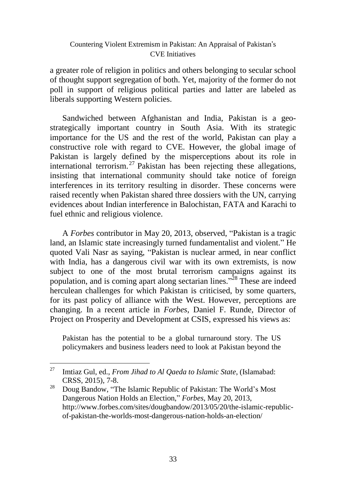a greater role of religion in politics and others belonging to secular school of thought support segregation of both. Yet, majority of the former do not poll in support of religious political parties and latter are labeled as liberals supporting Western policies.

Sandwiched between Afghanistan and India, Pakistan is a geostrategically important country in South Asia. With its strategic importance for the US and the rest of the world, Pakistan can play a constructive role with regard to CVE. However, the global image of Pakistan is largely defined by the misperceptions about its role in international terrorism.<sup>27</sup> Pakistan has been rejecting these allegations, insisting that international community should take notice of foreign interferences in its territory resulting in disorder. These concerns were raised recently when Pakistan shared three dossiers with the UN, carrying evidences about Indian interference in Balochistan, FATA and Karachi to fuel ethnic and religious violence.

A *Forbes* contributor in May 20, 2013, observed, "Pakistan is a tragic land, an Islamic state increasingly turned fundamentalist and violent." He quoted Vali Nasr as saying, "Pakistan is nuclear armed, in near conflict with India, has a dangerous civil war with its own extremists, is now subject to one of the most brutal terrorism campaigns against its population, and is coming apart along sectarian lines."<sup>28</sup> These are indeed herculean challenges for which Pakistan is criticised, by some quarters, for its past policy of alliance with the West. However, perceptions are changing. In a recent article in *Forbes*, Daniel F. Runde, Director of Project on Prosperity and Development at CSIS, expressed his views as:

Pakistan has the potential to be a global turnaround story. The US policymakers and business leaders need to look at Pakistan beyond the

<sup>27</sup> Imtiaz Gul, ed., *From Jihad to Al Qaeda to Islamic State*, (Islamabad: CRSS, 2015), 7-8.

<sup>&</sup>lt;sup>28</sup> Doug Bandow, "The Islamic Republic of Pakistan: The World's Most Dangerous Nation Holds an Election," *Forbes*, May 20, 2013, http://www.forbes.com/sites/dougbandow/2013/05/20/the-islamic-republicof-pakistan-the-worlds-most-dangerous-nation-holds-an-election/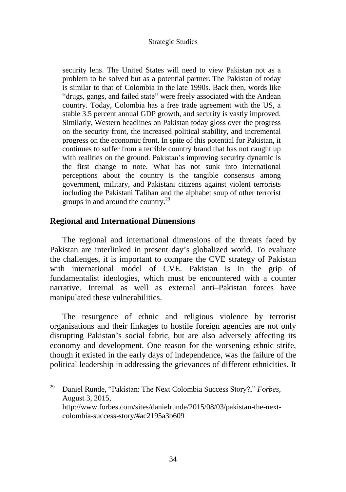security lens. The United States will need to view Pakistan not as a problem to be solved but as a potential partner. The Pakistan of today is similar to that of Colombia in the late 1990s. Back then, words like "drugs, gangs, and failed state" were freely associated with the Andean country. Today, Colombia has a free trade agreement with the US, a stable 3.5 percent annual GDP growth, and security is vastly improved. Similarly, Western headlines on Pakistan today gloss over the progress on the security front, the increased political stability, and incremental progress on the economic front. In spite of this potential for Pakistan, it continues to suffer from a terrible country brand that has not caught up with realities on the ground. Pakistan's improving security dynamic is the first change to note. What has not sunk into international perceptions about the country is the tangible consensus among government, military, and Pakistani citizens against violent terrorists including the Pakistani Taliban and the alphabet soup of other terrorist groups in and around the country.<sup>29</sup>

### **Regional and International Dimensions**

 $\overline{a}$ 

The regional and international dimensions of the threats faced by Pakistan are interlinked in present day's globalized world. To evaluate the challenges, it is important to compare the CVE strategy of Pakistan with international model of CVE. Pakistan is in the grip of fundamentalist ideologies, which must be encountered with a counter narrative. Internal as well as external anti–Pakistan forces have manipulated these vulnerabilities.

The resurgence of ethnic and religious violence by terrorist organisations and their linkages to hostile foreign agencies are not only disrupting Pakistan's social fabric, but are also adversely affecting its economy and development. One reason for the worsening ethnic strife, though it existed in the early days of independence, was the failure of the political leadership in addressing the grievances of different ethnicities. It

<sup>29</sup> Daniel Runde, "Pakistan: The Next Colombia Success Story?," *Forbes*, August 3, 2015, http://www.forbes.com/sites/danielrunde/2015/08/03/pakistan-the-nextcolombia-success-story/#ac2195a3b609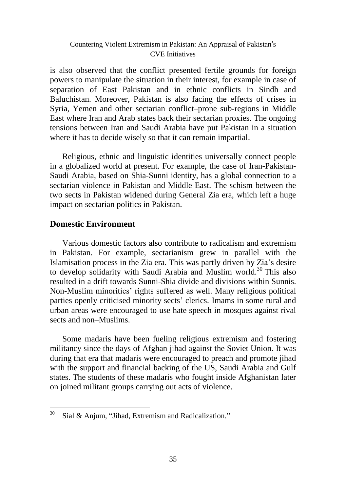is also observed that the conflict presented fertile grounds for foreign powers to manipulate the situation in their interest, for example in case of separation of East Pakistan and in ethnic conflicts in Sindh and Baluchistan. Moreover, Pakistan is also facing the effects of crises in Syria, Yemen and other sectarian conflict–prone sub-regions in Middle East where Iran and Arab states back their sectarian proxies. The ongoing tensions between Iran and Saudi Arabia have put Pakistan in a situation where it has to decide wisely so that it can remain impartial.

Religious, ethnic and linguistic identities universally connect people in a globalized world at present. For example, the case of Iran-Pakistan-Saudi Arabia, based on Shia-Sunni identity, has a global connection to a sectarian violence in Pakistan and Middle East. The schism between the two sects in Pakistan widened during General Zia era, which left a huge impact on sectarian politics in Pakistan.

# **Domestic Environment**

Various domestic factors also contribute to radicalism and extremism in Pakistan. For example, sectarianism grew in parallel with the Islamisation process in the Zia era. This was partly driven by Zia's desire to develop solidarity with Saudi Arabia and Muslim world. <sup>30</sup> This also resulted in a drift towards Sunni-Shia divide and divisions within Sunnis. Non-Muslim minorities' rights suffered as well. Many religious political parties openly criticised minority sects' clerics. Imams in some rural and urban areas were encouraged to use hate speech in mosques against rival sects and non–Muslims.

Some madaris have been fueling religious extremism and fostering militancy since the days of Afghan jihad against the Soviet Union. It was during that era that madaris were encouraged to preach and promote jihad with the support and financial backing of the US, Saudi Arabia and Gulf states. The students of these madaris who fought inside Afghanistan later on joined militant groups carrying out acts of violence.

<sup>30</sup> Sial & Anjum, "Jihad, Extremism and Radicalization."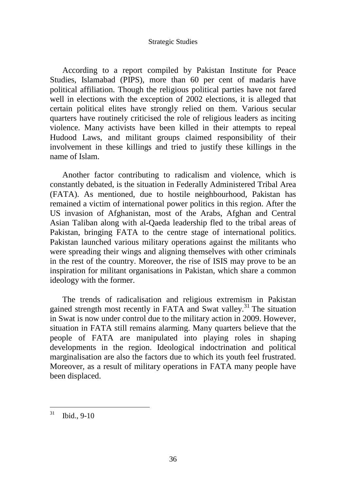According to a report compiled by Pakistan Institute for Peace Studies, Islamabad (PIPS), more than 60 per cent of madaris have political affiliation. Though the religious political parties have not fared well in elections with the exception of 2002 elections, it is alleged that certain political elites have strongly relied on them. Various secular quarters have routinely criticised the role of religious leaders as inciting violence. Many activists have been killed in their attempts to repeal Hudood Laws, and militant groups claimed responsibility of their involvement in these killings and tried to justify these killings in the name of Islam.

Another factor contributing to radicalism and violence, which is constantly debated, is the situation in Federally Administered Tribal Area (FATA). As mentioned, due to hostile neighbourhood, Pakistan has remained a victim of international power politics in this region. After the US invasion of Afghanistan, most of the Arabs, Afghan and Central Asian Taliban along with al-Qaeda leadership fled to the tribal areas of Pakistan, bringing FATA to the centre stage of international politics. Pakistan launched various military operations against the militants who were spreading their wings and aligning themselves with other criminals in the rest of the country. Moreover, the rise of ISIS may prove to be an inspiration for militant organisations in Pakistan, which share a common ideology with the former.

The trends of radicalisation and religious extremism in Pakistan gained strength most recently in FATA and Swat valley.<sup>31</sup> The situation in Swat is now under control due to the military action in 2009. However, situation in FATA still remains alarming. Many quarters believe that the people of FATA are manipulated into playing roles in shaping developments in the region. Ideological indoctrination and political marginalisation are also the factors due to which its youth feel frustrated. Moreover, as a result of military operations in FATA many people have been displaced.

<sup>31</sup> Ibid., 9-10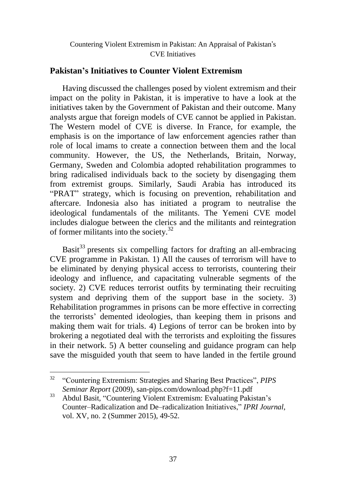# **Pakistan's Initiatives to Counter Violent Extremism**

Having discussed the challenges posed by violent extremism and their impact on the polity in Pakistan, it is imperative to have a look at the initiatives taken by the Government of Pakistan and their outcome. Many analysts argue that foreign models of CVE cannot be applied in Pakistan. The Western model of CVE is diverse. In France, for example, the emphasis is on the importance of law enforcement agencies rather than role of local imams to create a connection between them and the local community. However, the US, the Netherlands, Britain, Norway, Germany, Sweden and Colombia adopted rehabilitation programmes to bring radicalised individuals back to the society by disengaging them from extremist groups. Similarly, Saudi Arabia has introduced its "PRAT" strategy, which is focusing on prevention, rehabilitation and aftercare. Indonesia also has initiated a program to neutralise the ideological fundamentals of the militants. The Yemeni CVE model includes dialogue between the clerics and the militants and reintegration of former militants into the society.<sup>32</sup>

Basit<sup>33</sup> presents six compelling factors for drafting an all-embracing CVE programme in Pakistan. 1) All the causes of terrorism will have to be eliminated by denying physical access to terrorists, countering their ideology and influence, and capacitating vulnerable segments of the society. 2) CVE reduces terrorist outfits by terminating their recruiting system and depriving them of the support base in the society. 3) Rehabilitation programmes in prisons can be more effective in correcting the terrorists' demented ideologies, than keeping them in prisons and making them wait for trials. 4) Legions of terror can be broken into by brokering a negotiated deal with the terrorists and exploiting the fissures in their network. 5) A better counseling and guidance program can help save the misguided youth that seem to have landed in the fertile ground

<sup>32</sup> "Countering Extremism: Strategies and Sharing Best Practices", *PIPS Seminar Report* (2009), san-pips.com/download.php?f=11.pdf

<sup>33</sup> Abdul Basit, "Countering Violent Extremism: Evaluating Pakistan's Counter–Radicalization and De–radicalization Initiatives," *IPRI Journal*, vol. XV, no. 2 (Summer 2015), 49-52.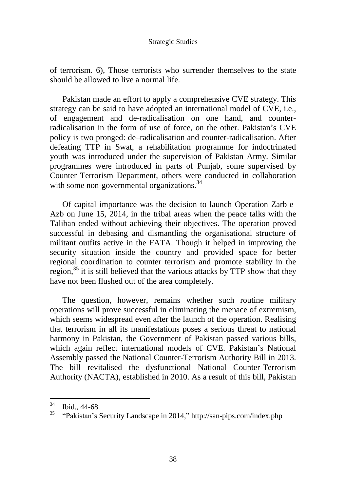of terrorism. 6), Those terrorists who surrender themselves to the state should be allowed to live a normal life.

Pakistan made an effort to apply a comprehensive CVE strategy. This strategy can be said to have adopted an international model of CVE, i.e., of engagement and de-radicalisation on one hand, and counterradicalisation in the form of use of force, on the other. Pakistan's CVE policy is two pronged: de–radicalisation and counter-radicalisation. After defeating TTP in Swat, a rehabilitation programme for indoctrinated youth was introduced under the supervision of Pakistan Army. Similar programmes were introduced in parts of Punjab, some supervised by Counter Terrorism Department, others were conducted in collaboration with some non-governmental organizations.<sup>34</sup>

Of capital importance was the decision to launch Operation Zarb-e-Azb on June 15, 2014, in the tribal areas when the peace talks with the Taliban ended without achieving their objectives. The operation proved successful in debasing and dismantling the organisational structure of militant outfits active in the FATA. Though it helped in improving the security situation inside the country and provided space for better regional coordination to counter terrorism and promote stability in the region, $35$  it is still believed that the various attacks by TTP show that they have not been flushed out of the area completely.

The question, however, remains whether such routine military operations will prove successful in eliminating the menace of extremism, which seems widespread even after the launch of the operation. Realising that terrorism in all its manifestations poses a serious threat to national harmony in Pakistan, the Government of Pakistan passed various bills, which again reflect international models of CVE. Pakistan's National Assembly passed the National Counter-Terrorism Authority Bill in 2013. The bill revitalised the dysfunctional National Counter-Terrorism Authority (NACTA), established in 2010. As a result of this bill, Pakistan

 $34$  Ibid., 44-68.

<sup>35</sup> "Pakistan's Security Landscape in 2014," <http://san-pips.com/index.php>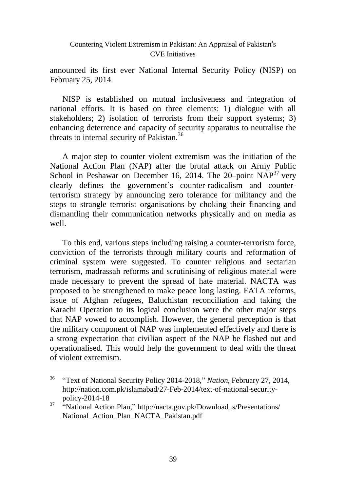announced its first ever National Internal Security Policy (NISP) on February 25, 2014.

NISP is established on mutual inclusiveness and integration of national efforts. It is based on three elements: 1) dialogue with all stakeholders; 2) isolation of terrorists from their support systems; 3) enhancing deterrence and capacity of security apparatus to neutralise the threats to internal security of Pakistan.<sup>36</sup>

A major step to counter violent extremism was the initiation of the National Action Plan (NAP) after the brutal attack on Army Public School in Peshawar on December 16, 2014. The 20-point  $NAP^{37}$  very clearly defines the government's counter-radicalism and counterterrorism strategy by announcing zero tolerance for militancy and the steps to strangle terrorist organisations by choking their financing and dismantling their communication networks physically and on media as well.

To this end, various steps including raising a counter-terrorism force, conviction of the terrorists through military courts and reformation of criminal system were suggested. To counter religious and sectarian terrorism, madrassah reforms and scrutinising of religious material were made necessary to prevent the spread of hate material. NACTA was proposed to be strengthened to make peace long lasting. FATA reforms, issue of Afghan refugees, Baluchistan reconciliation and taking the Karachi Operation to its logical conclusion were the other major steps that NAP vowed to accomplish. However, the general perception is that the military component of NAP was implemented effectively and there is a strong expectation that civilian aspect of the NAP be flashed out and operationalised. This would help the government to deal with the threat of violent extremism.

<sup>36</sup> "Text of National Security Policy 2014-2018," *Nation*, February 27, 2014, http://nation.com.pk/islamabad/27-Feb-2014/text-of-national-securitypolicy-2014-18

<sup>&</sup>lt;sup>37</sup> "National Action Plan," http://nacta.gov.pk/Download\_s/Presentations/ National Action Plan NACTA Pakistan.pdf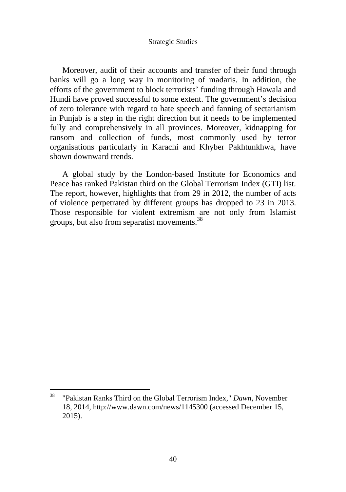Moreover, audit of their accounts and transfer of their fund through banks will go a long way in monitoring of madaris. In addition, the efforts of the government to block terrorists' funding through Hawala and Hundi have proved successful to some extent. The government's decision of zero tolerance with regard to hate speech and fanning of sectarianism in Punjab is a step in the right direction but it needs to be implemented fully and comprehensively in all provinces. Moreover, kidnapping for ransom and collection of funds, most commonly used by terror organisations particularly in Karachi and Khyber Pakhtunkhwa, have shown downward trends.

A global study by the London-based Institute for Economics and Peace has ranked Pakistan third on the Global Terrorism Index (GTI) list. The report, however, highlights that from 29 in 2012, the number of acts of violence perpetrated by different groups has dropped to 23 in 2013. Those responsible for violent extremism are not only from Islamist groups, but also from separatist movements.<sup>38</sup>

<sup>38</sup> "Pakistan Ranks Third on the Global Terrorism Index," *Dawn*, November 18, 2014, http://www.dawn.com/news/1145300 (accessed December 15, 2015).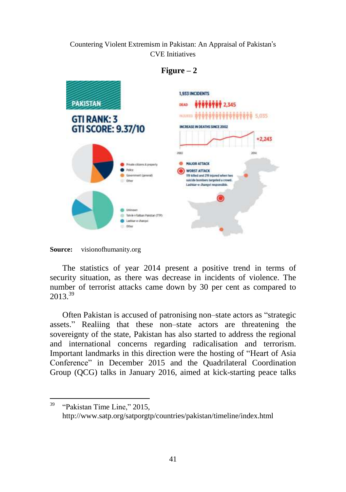

## $Figure - 2$

The statistics of year 2014 present a positive trend in terms of security situation, as there was decrease in incidents of violence. The number of terrorist attacks came down by 30 per cent as compared to 2013<sup>39</sup>

Often Pakistan is accused of patronising non–state actors as "strategic assets." Realiing that these non–state actors are threatening the sovereignty of the state, Pakistan has also started to address the regional and international concerns regarding radicalisation and terrorism. Important landmarks in this direction were the hosting of "Heart of Asia Conference" in December 2015 and the Quadrilateral Coordination Group (QCG) talks in January 2016, aimed at kick-starting peace talks

**Source:** visionofhumanity.org

 $\overline{a}$  $39$  "Pakistan Time Line," 2015, http://www.satp.org/satporgtp/countries/pakistan/timeline/index.html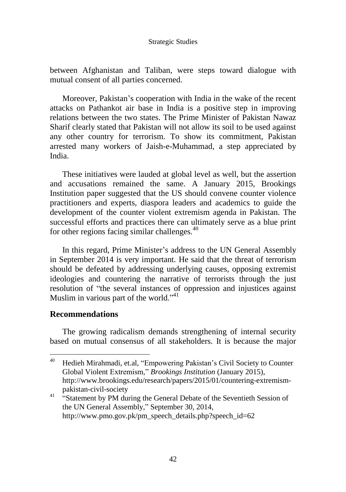between Afghanistan and Taliban, were steps toward dialogue with mutual consent of all parties concerned.

Moreover, Pakistan's cooperation with India in the wake of the recent attacks on Pathankot air base in India is a positive step in improving relations between the two states. The Prime Minister of Pakistan Nawaz Sharif clearly stated that Pakistan will not allow its soil to be used against any other country for terrorism. To show its commitment, Pakistan arrested many workers of Jaish-e-Muhammad, a step appreciated by India.

These initiatives were lauded at global level as well, but the assertion and accusations remained the same. A January 2015, Brookings Institution paper suggested that the US should convene counter violence practitioners and experts, diaspora leaders and academics to guide the development of the counter violent extremism agenda in Pakistan. The successful efforts and practices there can ultimately serve as a blue print for other regions facing similar challenges. $40$ 

In this regard, Prime Minister's address to the UN General Assembly in September 2014 is very important. He said that the threat of terrorism should be defeated by addressing underlying causes, opposing extremist ideologies and countering the narrative of terrorists through the just resolution of "the several instances of oppression and injustices against Muslim in various part of the world." $41$ 

### **Recommendations**

 $\overline{a}$ 

The growing radicalism demands strengthening of internal security based on mutual consensus of all stakeholders. It is because the major

<sup>&</sup>lt;sup>40</sup> Hedieh Mirahmadi, et.al, "Empowering Pakistan's Civil Society to Counter Global Violent Extremism," *Brookings Institution* (January 2015), [http://www.brookings.edu/research/papers/2015/01/countering-extremism](http://www.brookings.edu/research/papers/2015/01/countering-extremism-pakistan-civil-society)[pakistan-civil-society](http://www.brookings.edu/research/papers/2015/01/countering-extremism-pakistan-civil-society)

<sup>&</sup>lt;sup>41</sup> "Statement by PM during the General Debate of the Seventieth Session of the UN General Assembly," September 30, 2014, http://www.pmo.gov.pk/pm\_speech\_details.php?speech\_id=62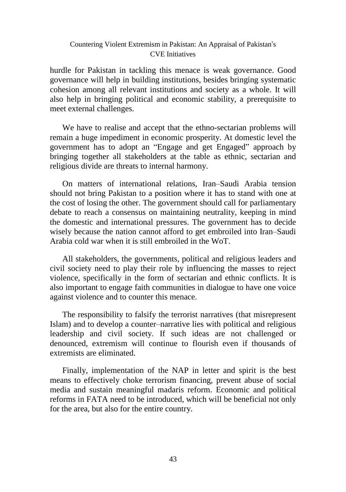hurdle for Pakistan in tackling this menace is weak governance. Good governance will help in building institutions, besides bringing systematic cohesion among all relevant institutions and society as a whole. It will also help in bringing political and economic stability, a prerequisite to meet external challenges.

We have to realise and accept that the ethno-sectarian problems will remain a huge impediment in economic prosperity. At domestic level the government has to adopt an "Engage and get Engaged" approach by bringing together all stakeholders at the table as ethnic, sectarian and religious divide are threats to internal harmony.

On matters of international relations, Iran–Saudi Arabia tension should not bring Pakistan to a position where it has to stand with one at the cost of losing the other. The government should call for parliamentary debate to reach a consensus on maintaining neutrality, keeping in mind the domestic and international pressures. The government has to decide wisely because the nation cannot afford to get embroiled into Iran–Saudi Arabia cold war when it is still embroiled in the WoT.

All stakeholders, the governments, political and religious leaders and civil society need to play their role by influencing the masses to reject violence, specifically in the form of sectarian and ethnic conflicts. It is also important to engage faith communities in dialogue to have one voice against violence and to counter this menace.

The responsibility to falsify the terrorist narratives (that misrepresent Islam) and to develop a counter–narrative lies with political and religious leadership and civil society. If such ideas are not challenged or denounced, extremism will continue to flourish even if thousands of extremists are eliminated.

Finally, implementation of the NAP in letter and spirit is the best means to effectively choke terrorism financing, prevent abuse of social media and sustain meaningful madaris reform. Economic and political reforms in FATA need to be introduced, which will be beneficial not only for the area, but also for the entire country.